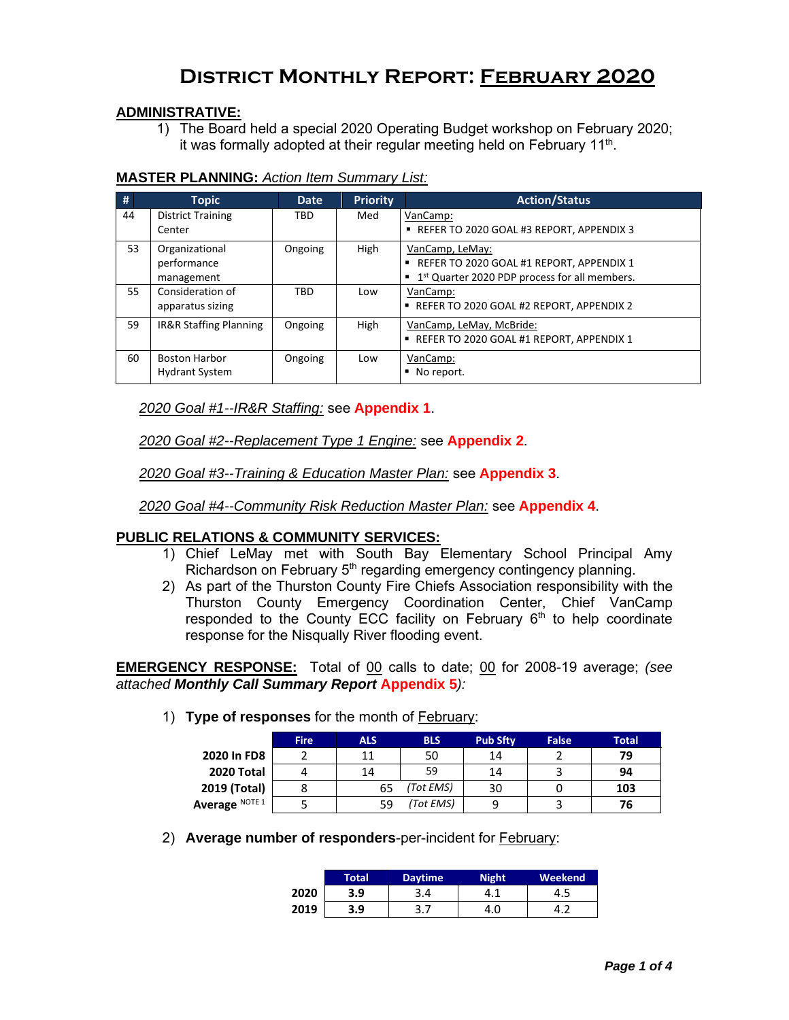### **District Monthly Report: February 2020**

### **ADMINISTRATIVE:**

1) The Board held a special 2020 Operating Budget workshop on February 2020; it was formally adopted at their regular meeting held on February 11 $^{\rm th}$ .

| <b>MASTER PLANNING: Action Item Summary List:</b> |  |
|---------------------------------------------------|--|
|                                                   |  |

| #  | <b>Topic</b>             | <b>Date</b> | <b>Priority</b> | <b>Action/Status</b>                                        |
|----|--------------------------|-------------|-----------------|-------------------------------------------------------------|
| 44 | <b>District Training</b> | <b>TBD</b>  | Med             | VanCamp:                                                    |
|    | Center                   |             |                 | REFER TO 2020 GOAL #3 REPORT, APPENDIX 3                    |
| 53 | Organizational           | Ongoing     | High            | VanCamp, LeMay:                                             |
|    | performance              |             |                 | REFER TO 2020 GOAL #1 REPORT, APPENDIX 1                    |
|    | management               |             |                 | ■ 1 <sup>st</sup> Quarter 2020 PDP process for all members. |
| 55 | Consideration of         | <b>TBD</b>  | Low             | VanCamp:                                                    |
|    | apparatus sizing         |             |                 | ■ REFER TO 2020 GOAL #2 REPORT, APPENDIX 2                  |
| 59 | IR&R Staffing Planning   | Ongoing     | High            | VanCamp, LeMay, McBride:                                    |
|    |                          |             |                 | REFER TO 2020 GOAL #1 REPORT, APPENDIX 1                    |
| 60 | <b>Boston Harbor</b>     | Ongoing     | Low             | VanCamp:                                                    |
|    | <b>Hydrant System</b>    |             |                 | No report.<br>٠                                             |

*2020 Goal #1--IR&R Staffing:* see **Appendix 1**.

*2020 Goal #2--Replacement Type 1 Engine:* see **Appendix 2**.

*2020 Goal #3--Training & Education Master Plan:* see **Appendix 3**.

*2020 Goal #4--Community Risk Reduction Master Plan:* see **Appendix 4**.

### **PUBLIC RELATIONS & COMMUNITY SERVICES:**

- 1) Chief LeMay met with South Bay Elementary School Principal Amy Richardson on February  $5<sup>th</sup>$  regarding emergency contingency planning.
- 2) As part of the Thurston County Fire Chiefs Association responsibility with the Thurston County Emergency Coordination Center, Chief VanCamp responded to the County  $EC\acute{C}$  facility on February  $6<sup>th</sup>$  to help coordinate response for the Nisqually River flooding event.

**EMERGENCY RESPONSE:** Total of 00 calls to date; 00 for 2008-19 average; *(see attached Monthly Call Summary Report* **Appendix 5***):*

- **Fire ALS BLS Pub Sfty False Total 2020 In FD8** 2 11 50 14 2 **79 2020** Total  $\begin{array}{|c|c|c|c|c|c|}\n\hline\n4 & 14 & 59 & 14 & 3 & 94 \\
\hline\n019 (Total) & 8 & 65 & (Tot EMS) & 30 & 0 & 103\n\end{array}$ **2019 (Total)** 8 65 *(Tot EMS)* 30 0 **103 Average** NOTE 1 5 59 *(Tot EMS)* 9 3 76
- 1) **Type of responses** for the month of February:

2) **Average number of responders**-per-incident for February:

|      | Total' | <b>Daytime</b> | <b>Night</b> | Weekend |
|------|--------|----------------|--------------|---------|
| 2020 | 3.9    | 3.4            |              | د.+     |
| 2019 | 3.9    | ر . د          | 4.0          | −.∠     |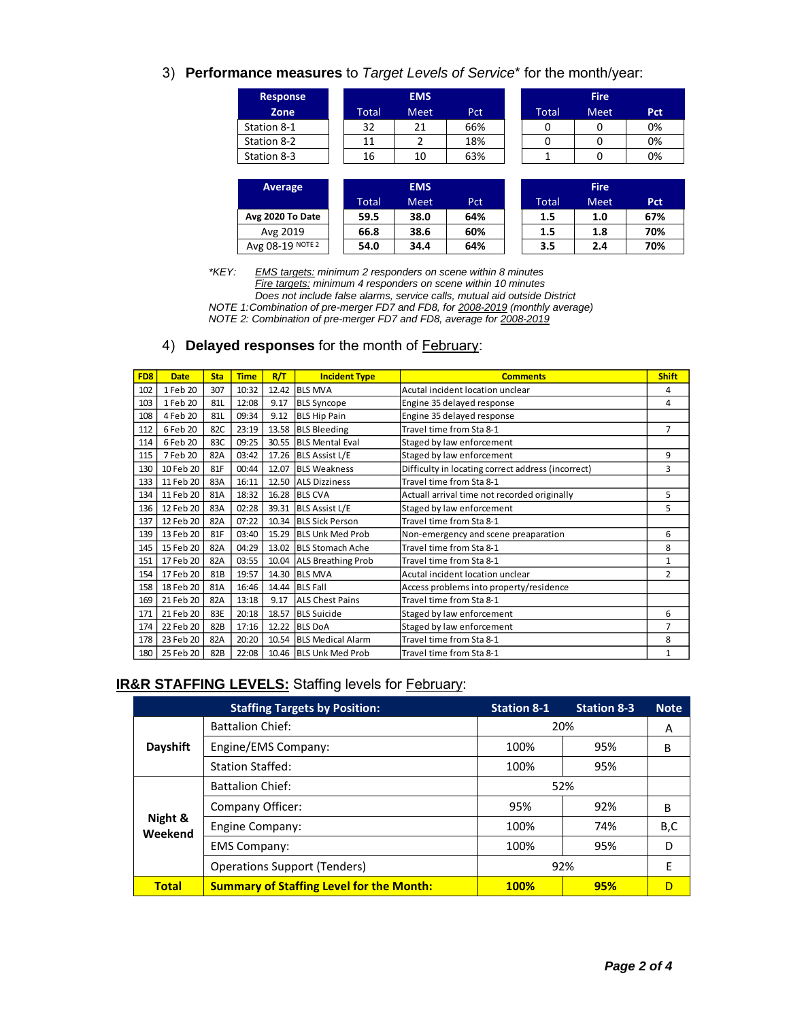3) **Performance measures** to *Target Levels of Service*\* for the month/year:

| <b>Response</b> |       | <b>EMS</b>  |     |       | <b>Fire</b> |     |
|-----------------|-------|-------------|-----|-------|-------------|-----|
| Zone            | Total | <b>Meet</b> | Pct | Total | <b>Meet</b> | Pct |
| Station 8-1     | 32    | 21          | 66% |       |             | 0%  |
| Station 8-2     |       |             | 18% |       |             | 0%  |
| Station 8-3     | 16    | 10          | 63% |       |             | 0%  |

|              | <b>Fire</b> |     |
|--------------|-------------|-----|
| <b>Total</b> | Meet        | Pct |
| 0            |             | 0%  |
| n            |             | 0%  |
|              |             | 0%  |

| Average          |       | <b>EMS</b>  |     |       | <b>Fire</b> |     |
|------------------|-------|-------------|-----|-------|-------------|-----|
|                  | Total | <b>Meet</b> | Pct | Total | <b>Meet</b> | Pct |
| Avg 2020 To Date | 59.5  | 38.0        | 64% | 1.5   | 1.0         | 67% |
| Avg 2019         | 66.8  | 38.6        | 60% | 1.5   | 1.8         | 70% |
| Avg 08-19 NOTE 2 | 54.0  | 34.4        | 64% | 3.5   | 2.4         | 70% |

*\*KEY: EMS targets: minimum 2 responders on scene within 8 minutes Fire targets: minimum 4 responders on scene within 10 minutes Does not include false alarms, service calls, mutual aid outside District NOTE 1:Combination of pre-merger FD7 and FD8, for 2008-2019 (monthly average) NOTE 2: Combination of pre-merger FD7 and FD8, average for 2008-2019*

### 4) **Delayed responses** for the month of February:

| FD <sub>8</sub> | <b>Date</b> | <b>Sta</b> | <b>Time</b> | R/T   | <b>Incident Type</b>     | <b>Comments</b>                                    | <b>Shift</b>   |
|-----------------|-------------|------------|-------------|-------|--------------------------|----------------------------------------------------|----------------|
| 102             | 1 Feb 20    | 307        | 10:32       |       | 12.42 BLS MVA            | Acutal incident location unclear                   | 4              |
| 103             | 1 Feb 20    | 81L        | 12:08       | 9.17  | <b>BLS Syncope</b>       | Engine 35 delayed response                         | 4              |
| 108             | 4 Feb 20    | 81L        | 09:34       | 9.12  | <b>BLS Hip Pain</b>      | Engine 35 delayed response                         |                |
| 112             | 6 Feb 20    | 82C        | 23:19       |       | 13.58 BLS Bleeding       | Travel time from Sta 8-1                           | $\overline{7}$ |
| 114             | 6 Feb 20    | 83C        | 09:25       |       | 30.55 BLS Mental Eval    | Staged by law enforcement                          |                |
| 115             | 7 Feb 20    | 82A        | 03:42       |       | 17.26 BLS Assist L/E     | Staged by law enforcement                          | 9              |
| 130             | 10 Feb 20   | 81F        | 00:44       | 12.07 | <b>BLS Weakness</b>      | Difficulty in locating correct address (incorrect) | 3              |
| 133             | 11 Feb 20   | 83A        | 16:11       |       | 12.50 ALS Dizziness      | Travel time from Sta 8-1                           |                |
| 134             | 11 Feb 20   | 81A        | 18:32       |       | 16.28 BLS CVA            | Actuall arrival time not recorded originally       | 5              |
| 136             | 12 Feb 20   | 83A        | 02:28       |       | 39.31 BLS Assist L/E     | Staged by law enforcement                          | 5              |
| 137             | 12 Feb 20   | 82A        | 07:22       |       | 10.34 BLS Sick Person    | Travel time from Sta 8-1                           |                |
| 139             | 13 Feb 20   | 81F        | 03:40       | 15.29 | <b>BLS Unk Med Prob</b>  | Non-emergency and scene preaparation               | 6              |
| 145             | 15 Feb 20   | 82A        | 04:29       |       | 13.02 BLS Stomach Ache   | Travel time from Sta 8-1                           | 8              |
| 151             | 17 Feb 20   | 82A        | 03:55       |       | 10.04 ALS Breathing Prob | Travel time from Sta 8-1                           | 1              |
| 154             | 17 Feb 20   | 81B        | 19:57       | 14.30 | <b>BLS MVA</b>           | Acutal incident location unclear                   | 2              |
| 158             | 18 Feb 20   | 81A        | 16:46       |       | 14.44 BLS Fall           | Access problems into property/residence            |                |
| 169             | 21 Feb 20   | 82A        | 13:18       | 9.17  | <b>ALS Chest Pains</b>   | Travel time from Sta 8-1                           |                |
| 171             | 21 Feb 20   | 83E        | 20:18       | 18.57 | <b>BLS Suicide</b>       | Staged by law enforcement                          | 6              |
| 174             | 22 Feb 20   | 82B        | 17:16       | 12.22 | <b>BLS DoA</b>           | Staged by law enforcement                          | 7              |
| 178             | 23 Feb 20   | 82A        | 20:20       |       | 10.54 BLS Medical Alarm  | Travel time from Sta 8-1                           | 8              |
| 180             | 25 Feb 20   | 82B        | 22:08       |       | 10.46 BLS Unk Med Prob   | Travel time from Sta 8-1                           | $\mathbf{1}$   |

### **IR&R STAFFING LEVELS:** Staffing levels for **February:**

|                    | <b>Staffing Targets by Position:</b>            | <b>Station 8-1</b> | <b>Station 8-3</b> | <b>Note</b> |
|--------------------|-------------------------------------------------|--------------------|--------------------|-------------|
|                    | <b>Battalion Chief:</b>                         |                    | 20%                | A           |
| Dayshift           | Engine/EMS Company:                             | 100%               | 95%                | B           |
|                    | <b>Station Staffed:</b>                         | 100%               | 95%                |             |
|                    | <b>Battalion Chief:</b>                         |                    | 52%                |             |
|                    | Company Officer:                                | 95%                | 92%                | B           |
| Night &<br>Weekend | Engine Company:                                 | 100%               | 74%                | B,C         |
|                    | <b>EMS Company:</b>                             | 100%               | 95%                | D           |
|                    | <b>Operations Support (Tenders)</b>             |                    | 92%                | F           |
| <b>Total</b>       | <b>Summary of Staffing Level for the Month:</b> | <b>100%</b>        | 95%                | D           |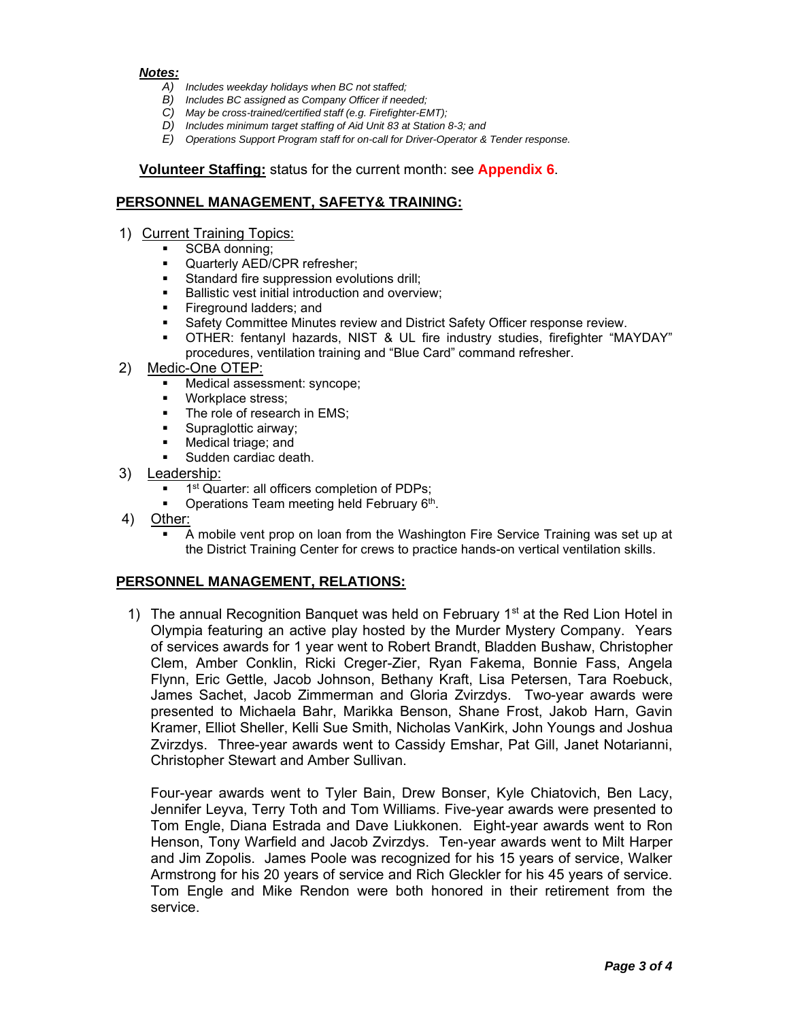### *Notes:*

- *A) Includes weekday holidays when BC not staffed;*
- *B) Includes BC assigned as Company Officer if needed;*
- *C) May be cross-trained/certified staff (e.g. Firefighter-EMT);*
- *D) Includes minimum target staffing of Aid Unit 83 at Station 8-3; and*
- *E) Operations Support Program staff for on-call for Driver-Operator & Tender response.*

### **Volunteer Staffing:** status for the current month: see **Appendix 6**.

### **PERSONNEL MANAGEMENT, SAFETY& TRAINING:**

- 1) Current Training Topics:
	- SCBA donning;
	- Quarterly AED/CPR refresher;<br>■ Standard fire suppression evol
	- Standard fire suppression evolutions drill:
	- Ballistic vest initial introduction and overview:
	- **Exercise** Fireground ladders; and
	- Safety Committee Minutes review and District Safety Officer response review.
	- OTHER: fentanyl hazards, NIST & UL fire industry studies, firefighter "MAYDAY" procedures, ventilation training and "Blue Card" command refresher.
- 2) Medic-One OTEP:
	- Medical assessment: syncope;
	- Workplace stress;
	- The role of research in EMS;<br>■ Supraglottic airway:
	- Supraglottic airway;
	- Medical triage; and
	- Sudden cardiac death.
- 3) Leadership:
	- 1<sup>st</sup> Quarter: all officers completion of PDPs;
	- **Operations Team meeting held February 6th.**
- 4) Other:
	- A mobile vent prop on loan from the Washington Fire Service Training was set up at the District Training Center for crews to practice hands-on vertical ventilation skills.

### **PERSONNEL MANAGEMENT, RELATIONS:**

1) The annual Recognition Banquet was held on February 1<sup>st</sup> at the Red Lion Hotel in Olympia featuring an active play hosted by the Murder Mystery Company. Years of services awards for 1 year went to Robert Brandt, Bladden Bushaw, Christopher Clem, Amber Conklin, Ricki Creger-Zier, Ryan Fakema, Bonnie Fass, Angela Flynn, Eric Gettle, Jacob Johnson, Bethany Kraft, Lisa Petersen, Tara Roebuck, James Sachet, Jacob Zimmerman and Gloria Zvirzdys. Two-year awards were presented to Michaela Bahr, Marikka Benson, Shane Frost, Jakob Harn, Gavin Kramer, Elliot Sheller, Kelli Sue Smith, Nicholas VanKirk, John Youngs and Joshua Zvirzdys. Three-year awards went to Cassidy Emshar, Pat Gill, Janet Notarianni, Christopher Stewart and Amber Sullivan.

Four-year awards went to Tyler Bain, Drew Bonser, Kyle Chiatovich, Ben Lacy, Jennifer Leyva, Terry Toth and Tom Williams. Five-year awards were presented to Tom Engle, Diana Estrada and Dave Liukkonen. Eight-year awards went to Ron Henson, Tony Warfield and Jacob Zvirzdys. Ten-year awards went to Milt Harper and Jim Zopolis. James Poole was recognized for his 15 years of service, Walker Armstrong for his 20 years of service and Rich Gleckler for his 45 years of service. Tom Engle and Mike Rendon were both honored in their retirement from the service.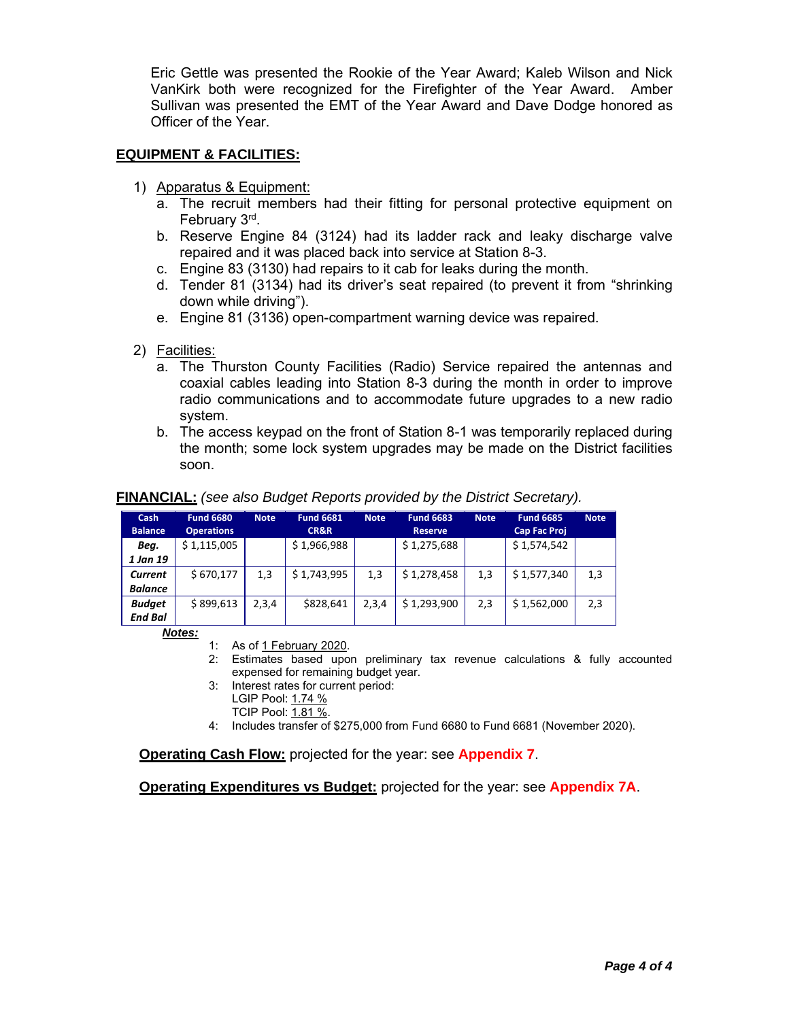Eric Gettle was presented the Rookie of the Year Award; Kaleb Wilson and Nick VanKirk both were recognized for the Firefighter of the Year Award. Amber Sullivan was presented the EMT of the Year Award and Dave Dodge honored as Officer of the Year.

### **EQUIPMENT & FACILITIES:**

- 1) Apparatus & Equipment:
	- a. The recruit members had their fitting for personal protective equipment on February 3<sup>rd</sup>.
	- b. Reserve Engine 84 (3124) had its ladder rack and leaky discharge valve repaired and it was placed back into service at Station 8-3.
	- c. Engine 83 (3130) had repairs to it cab for leaks during the month.
	- d. Tender 81 (3134) had its driver's seat repaired (to prevent it from "shrinking down while driving").
	- e. Engine 81 (3136) open-compartment warning device was repaired.
- 2) Facilities:
	- a. The Thurston County Facilities (Radio) Service repaired the antennas and coaxial cables leading into Station 8-3 during the month in order to improve radio communications and to accommodate future upgrades to a new radio system.
	- b. The access keypad on the front of Station 8-1 was temporarily replaced during the month; some lock system upgrades may be made on the District facilities soon.

| Cash<br><b>Balance</b>          | <b>Fund 6680</b><br><b>Operations</b> | <b>Note</b> | <b>Fund 6681</b><br>CR&R | <b>Note</b> | <b>Fund 6683</b><br><b>Reserve</b> | <b>Note</b> | <b>Fund 6685</b><br><b>Cap Fac Proj</b> | <b>Note</b> |
|---------------------------------|---------------------------------------|-------------|--------------------------|-------------|------------------------------------|-------------|-----------------------------------------|-------------|
| Beg.                            | \$1,115,005                           |             | \$1,966,988              |             | \$1,275,688                        |             | \$1,574,542                             |             |
| 1 Jan 19<br>Current             | \$670,177                             | 1,3         | \$1,743,995              | 1,3         | \$1,278,458                        | 1,3         | \$1,577,340                             | 1,3         |
| <b>Balance</b>                  |                                       |             |                          |             |                                    |             |                                         |             |
| <b>Budget</b><br><b>End Bal</b> | \$899,613                             | 2,3,4       | \$828,641                | 2,3,4       | \$1,293,900                        | 2,3         | \$1,562,000                             | 2,3         |

### **FINANCIAL:** *(see also Budget Reports provided by the District Secretary).*

*Notes:*

- 1: As of 1 February 2020.
- 2: Estimates based upon preliminary tax revenue calculations & fully accounted expensed for remaining budget year.
- 3: Interest rates for current period:
	- LGIP Pool: 1.74 %
		- TCIP Pool: 1.81 %.
- 4: Includes transfer of \$275,000 from Fund 6680 to Fund 6681 (November 2020).

**Operating Cash Flow:** projected for the year: see **Appendix 7**.

**Operating Expenditures vs Budget:** projected for the year: see **Appendix 7A**.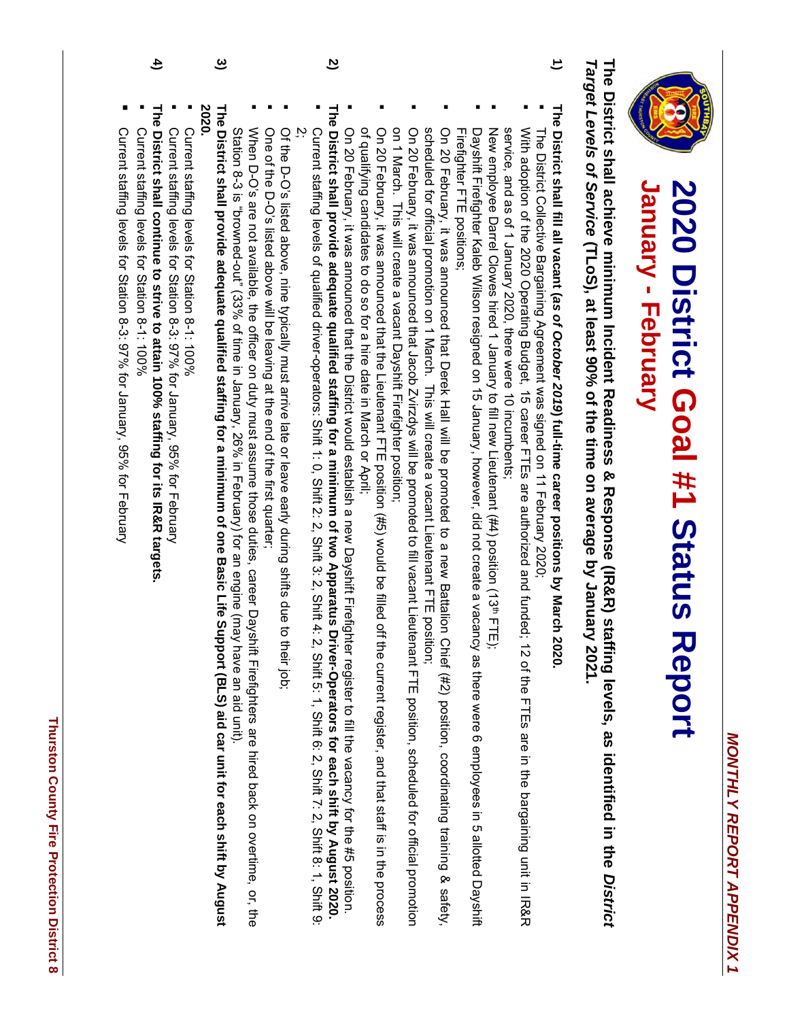

## **2020 District Goal** 2020 District Goal #1 Status Report **Status Report January - February**

**The District shall achieve minimum Incident Readiness & Response (IR&R) staffing levels, as identified in the** The District shall achieve minimum Incident Readiness & Response (IR&R) staffing levels, as identified in the District *Target Levels of Service* Target Levels of Service (TLoS), at least 90% of the time on average by January 2021. **at least 90% of the time on average by January 2021.**

- **1) The District shall fill all vacant (***as of October* The District shall fill all vacant (as of October 2019) full-time career positions by March 2020 **) full-time career positions by March 2020.**
- The District Collective Bargaining Agreement was signed on 11 February 2020; The District Collective Bargaining Agreement was signed on 11 February 2020;
- service, and as of 1 January 2020, there were 10 incumbents; With adoption of the 2020 Operating Budget, 15 career FTEs are authorized and funded; 12 of the FTEs are in the bargaining unit in R&R service, and as of 1 January 2020, there were 10 incumbents; With adoption of the 2020 Operating Budget, 15 career FTEs are authorized and funded; 12 of the FTEs are in the bargaining unit in IR&R
- New employee Darrel Clowes hired 1 January to fill new Lieutenant (#4) position (13 th FTE);
- Firefighter FTE positions; Firefighter FTE positions; Dayshift Firefighter Kaleb Wilson resigned on 15 January, however, did not create a vacancy as there were 6 employees in 5 allotted Dayshift Dayshift Firefighter Kaleb Wilson resigned on 15 January, however, did not create a vacancy as there were 6 employees in 5 allotted Dayshift
- scheduled for official promotion on 1 March. This will create a vacant Lieutenant FTE position; On 20 February, it was announced that Derek Hall will be promoted to a new Battalion Chief (#2) position, coordinating training & safety, scheduled for official promotion on 1 March. This will create a vacant Lieutenant FTE position; On 20 February, it was announced that Derek Hall will be promoted to a new Battalion Chief (#2) position, coordinating training training training training training training training training training training training trai
- on 1 March. This will create a vacant Dayshift Firefighter position; On 20 February, it was announced that Jacob Zvirzdys will be promoted to fill vacant Lieutenant FTE position, scheduled for official promotion on 1 March. This will create a vacant Dayshift Firefighter position; On 20 February, it was announced that Jacob Zvirzdys will be promoted to fill vacant Lieutenant FTE position, scheduled for official promotion
- of qualifying candidates to do so for a hire date in March or April; On 20 February, it was announced that the Lieutenant FTE position (#5) would be filled off the current register, and that staff is in the process of qualifying candidates to do so for a hire date in March or April; On 20 February, it was announced that the Lieutenant FTE position (#5) would be eilled oft the current register, and the current register, and that staff is in the processs
- On 20 February, it was announced that the District would establish a new Dayshift Firefighter register to fill the vacancy for the #5 position. On 20 February, it was announced that the District would establish a new Dayshift Firefighter register to fill the vacancy for the #5 position.
- **The District shall provide adequate qualified staffing for a minimum of two Apparatus Driver-Operators for each shift by August** The District shall provide adequate qualified staffing for a minimum of two Apparatus Driver-Operators for each shift by August 2020.

**2)**

- Current staffing levels of qualified driver-operators: Shift 1: 0, Shift 2: 2, Shift 3: 2, Shift 4: 2, Shift 5: 1, Shift 6: 2, Shift 6: 2, Shift 9: 2, Shift 9: 2, Shift 9: 2, Shift 5: 2, Shift 5: 1, Shift 6: 2, Shift 9: 2, بر Current staffing levels of qualified driver-operators: Shift  $2$ ;  $\frac{1}{2}$  Shift  $2$ ;  $\frac{1}{2}$  Shift  $2$ ;  $\frac{1}{2}$  Shift  $2$ ;  $\frac{1}{2}$  Shift  $2$ ;  $\frac{1}{2}$  Shift  $2$ ;  $\frac{1}{2}$  Shift  $2$ ;  $\frac{1}{2}$  Shift  $2$ ;  $\frac{1}{2}$
- Of the D-O's listed above, nine typically must arrive late or leave early during shifts due to their job. Of the D-O's listed above, nine typically must arrive late or leave early during shifts due to their job;
- One of the D-O's listed above will be leaving at the end of the first quarter; One of the D-O's listed above will be leaving at the end of the first quarter;
- Station 8-3 is "browned-out" (33% of time in January, 26% in February) for an engine (may have an aid unit). When D-O's are not available, the officer on duty must assume those duties, career Dayshift Firefighters are hired back on overtime, or, the Station 8-3 is is 1980 in Tandon (1980) for the february, 26% in February, 26% of time in January, 20% of time in Tandon (1980) for an aid unit). When D-O's are not available, the officer on duty must assume those duties, career Dayshift Firefighters are hired back on overtime,
- **The District shall provide adequate qualified staffing for a minimum of one Basic Life Support (BLS) aid car** The District shall provide adequate qualified staffing for a minimum of one Basic Life Support (BLS) aid car unit for each shift by August **for each shift by August 2020.**
- Current staffing levels for Station 8-1: 100% Current staffing levels for Station 8-1: 100%

**3)**

- Current staffing levels for Station 8-3: 97% for January, 95% for Februan Current staffing levels for Station 8-3: 97% for January, 95% for February
- ▪
- **The District shall continue to strive to attain 100% staffing for its IR&R targets.**
- Current staffing levels for Station 8-1: 100% Current staffing levels for Station 8-1: 100%

**4)**

- ▪
- Current staffing levels for Station 8-3: 97% for January, 95% for February Current staffing levels for Station 8-3: 97% for January, 95% for February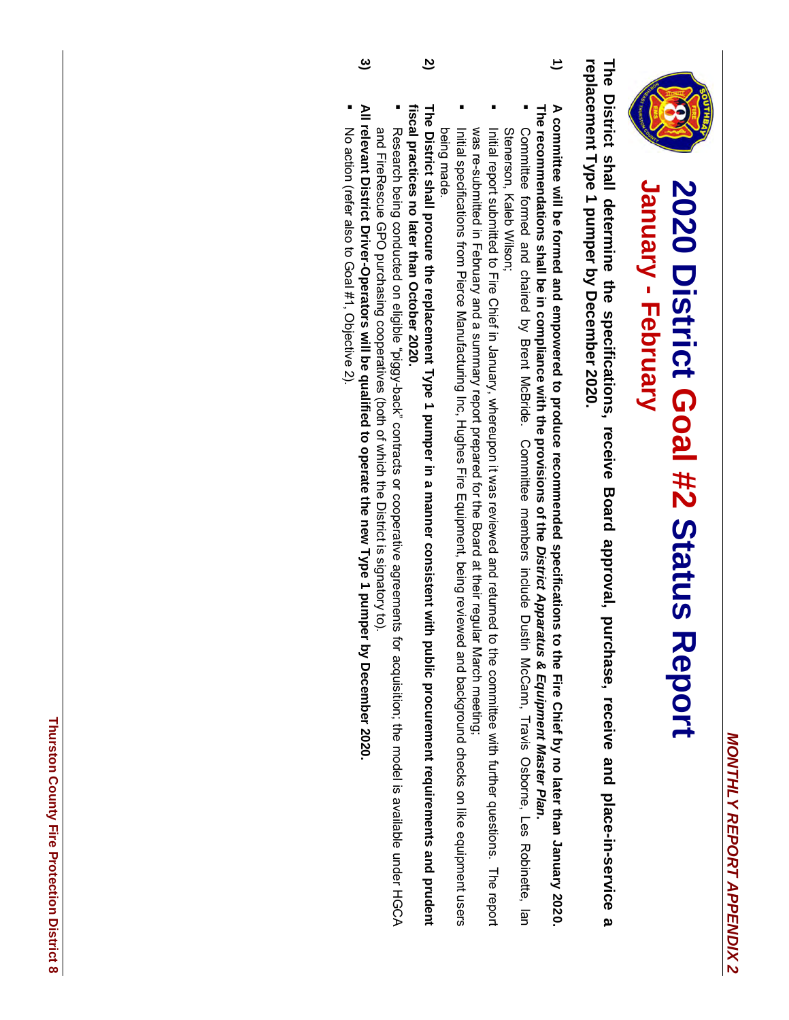

## **2020 District Goal** 2020 District Goal #2 Status Report **Status Report January - February**

replacement Type 1 pumper by December 2020. The District shall determine the specifications, receive Board approval, purchase, receive and place-in-service a **replacement Type 1 pumper by December 2020. The District shall determine the specifications, receive Board approval, purchase, receive and place-in-service a** 

- **1)** The recommendations shall be in compliance with the provisions of the District Apparatus & Equipment Master Plan. A committee will be formed and empowered to produce recommended specifications to the Fire Chief by no later than January 2020. **The recommendations shall be in compliance with the provisions of the A committee will be formed and empowered to produce recommended specifications to the Fire Chief by no later than January 2020.**  *District Apparatus & Equipment Master Plan*
- Stenerson, Kaleb Wilson; Committee formed and chaired by Brent McBride. Committee members include Dustin McCann, Travis Osborne, Les Robinette, lan Stenerson, Kaleb Wilson; Committee formed and chaired by Brent McBride. Committee members include Dustin McCann, Travis Osborne, Les Robinette, Ian
- was re-submitted in February and a summary report prepared for the Board at their regular March meeting; Initial report submitted to Fire Chief in January, whereupon it was reviewed and returned to the committee with further questions. The report was re-submitted in February and a summary report prepared for the Board at their regular March meeting; Initial report submitted to Fire Chief in January, whereupon it was reviewed and returned to the committee with further questions. The report submittee with  $\mu$
- being made. Initial specifications from Pierce Manufacturing Inc, Hughes Fire Equipment, being reviewed and background checks on like equipment users being made. Initial specifications from Pierce Manufacturing Inc, Hughes Fire Equipment, being reviewed and background checks on like equipment users
- The District shall procure the replacement Type 1 pumper in a manner consistent with public procurement requirements and prudent fiscal practices no later than October 2020. **fiscal practices no later than October 2020. The District shall procure the replacement Type 1 pumper in a manner consistent with public procurement requirements and prudent**

**2)**

- and FireRescue GPO purchasing cooperatives (both of which the District is signatory to) Research being conducted on eligible "piggy-back" contracts or cooperative agreements for acquisition; the model is available under HGCA and FireRescue GPO purchasing cooperatives (both of which the District is signatory to). Research being conducted on eligible "piggy-back" contracts or cooperative agreements for acquisition; the model is available under HGCA
- **All relevant District Driver-Operators will be qualified to operate the new Type 1 pumper by December 2020.**
- No action (refer also to Goal #1, Objective 2). (refer also to Goal #1, Objective 2).

**3)**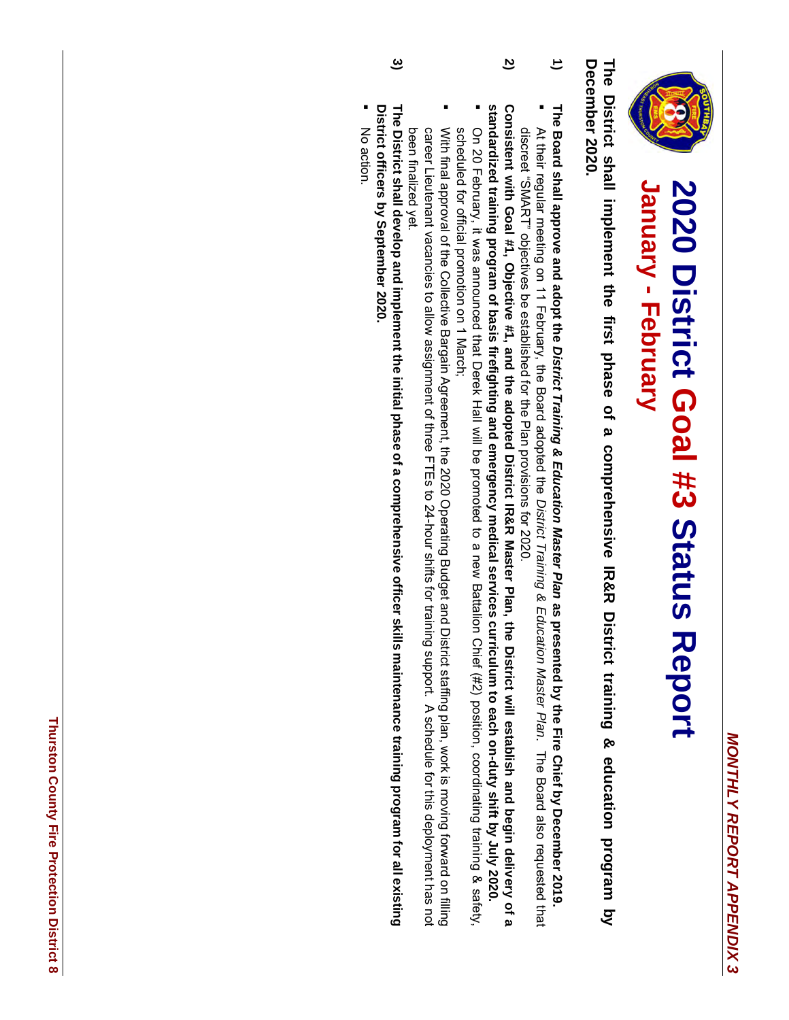

## **2020 District Goal** 2020 District Goal #3 Status Report **Status Report January - February**

December 2020. The District shall implement the first phase of a comprehensive IR&R District training & education program by **December 2020. The District shall implement the first phase of a comprehensive IR&R District training & education program by** 

- **1)** The Board shall approve and adopt the District Training & Education Master Plan as presented by the Fire Chief by December 2019 **The Board shall approve and adopt the** *District Training & Education Master Plan* **as presented by the Fire Chief by December 2019.**
- discreet "SMART" objectives be established for the Plan provisions for 2020. At their regular meeting on 11 February, the Board adopted the District Training & Education Master Plan. The Board also requested that discreet "SMART" objectives be established for the Plan provisions for 2020. At their regular meeting on 11 February, the Board adopted the *District Training & Education Master Plan*. The Board also requested that
- **2)** Consistent with Goal #1, Objective #1, and the adopted District IR&R Master Plan, the District will establish and begin delivery of a **Consistent with Goal #1, Objective #1, and the adopted District IR&R Master Plan, the District will establish and begin delivery of a**
- standardized training program of basis firefighting and emergency medical services curriculum to each on-duty shift by July 2020. ▪ **standardized training program of basis firefighting and emergency medical services curriculum to each on-duty shift by July 2020.** scheduled for official promotion on 1 March; On 20 February, it was announced that Derek Hall will be promoted to a new Battalion Chief (#2) position, coordinating training & safety, scheduled for official promotion on 1 March; On 20 February, it was announced that Derek Hall will be promoted to a new Battalion Chief (#2) position, coordinating training & safety,
- With final approval of the Collective Bargain Agreement, the 2020 Operating Budget and District staffing plan, work is moving forward on filling career Lieutenant vacancies to allow assignment of three FTEs to 24-hour shifts for training support. A schedule for this deployment has not been finalized yet been finalized yet. career Lieutenant vacancies to allow assignment of three FTEs to 24-hour shifts for training support. A schedule for this deployment has not With final approval of the Collective Bargain Agreement, the 2020 Operating Budget and District staffing plan, work is moving forward on filling
- District officers by September 2020. The District shall develop and implement the initial phase of a comprehensive officer skills maintenance training program for all existing **District officers by September 2020. The District shall develop and implement the initial phase of a comprehensive officer skills maintenance training program for all existing**
- $\mathsf{g}$ action.

**3)**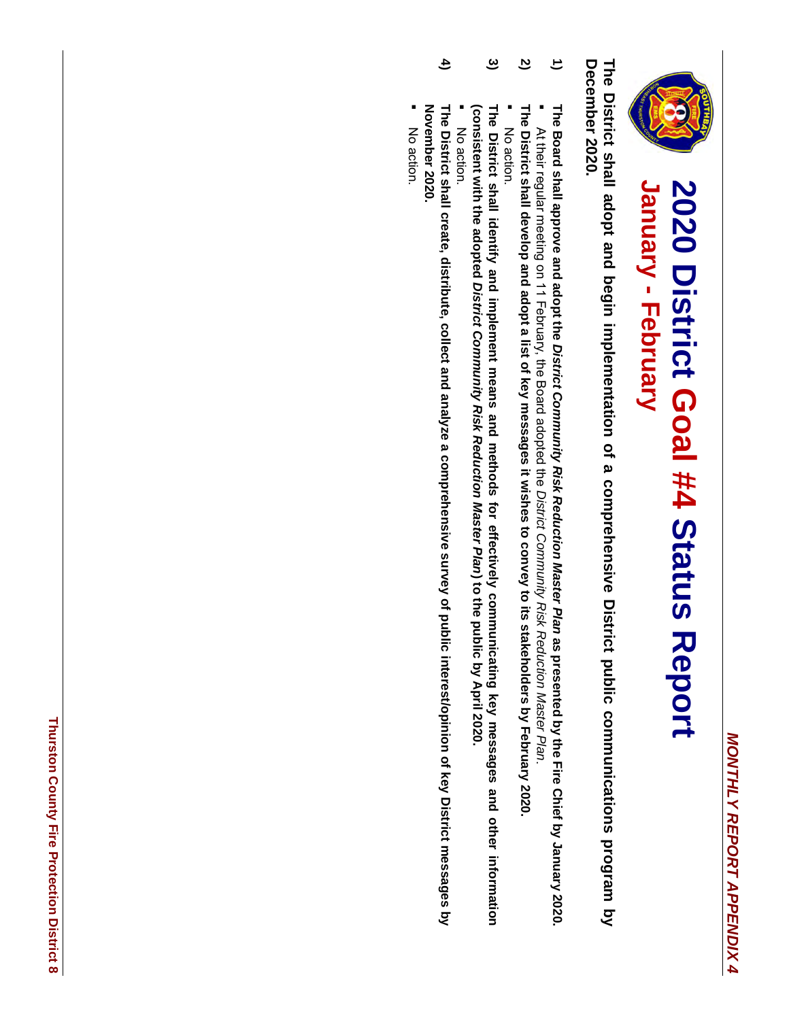

## **2020 District Goal** 2020 District Goal #4 Status Report **Status Report January - February**

December 2020. The District shall adopt and begin implementation of a comprehensive District public communications program by **December 2020. The District shall adopt and begin implementation of a comprehensive District public communications program by** 

- **1)** The Board shall approve and adopt the District Community Risk Reduction Master Plan as presented by the Fire Chief by January 2020. **The Board shall approve and adopt the** *District Community Risk Reduction Master Plan* **as presented by the Fire Chief by January 2020.**
- **2)** The District shall develop and adopt a list of key messages it wishes to convey to its stakeholders by February 2020 **The District shall develop and adopt a list of key messages** ▪ At their regular meeting on 11 February, the Board adopted the **it wishes to convey to its stakeholders by February 2020.** *District Community Risk Reduction Master Plan*.
- No action.
- **3)** (consistent with the adopted District Community Risk Reduction Master Plan) to the public by April 2020 **(consistent with the adopted** The District shall identify and implement means and methods for effectively communicating key messages and other information **The District shall identify and implement means and methods for effectively communicating key messages and other information**  *District Community Risk Reduction Master Plan***) to the public by April 2020.**
- No action.
- **4)** November 2020. **November 2020.** The District shall create, distribute, collect and analyze a comprehensive survey of public interest/opinion of key District messages by **The District shall create, distribute, collect and analyze a comprehensive survey of public interest/opinion of key District messages by**
- No action.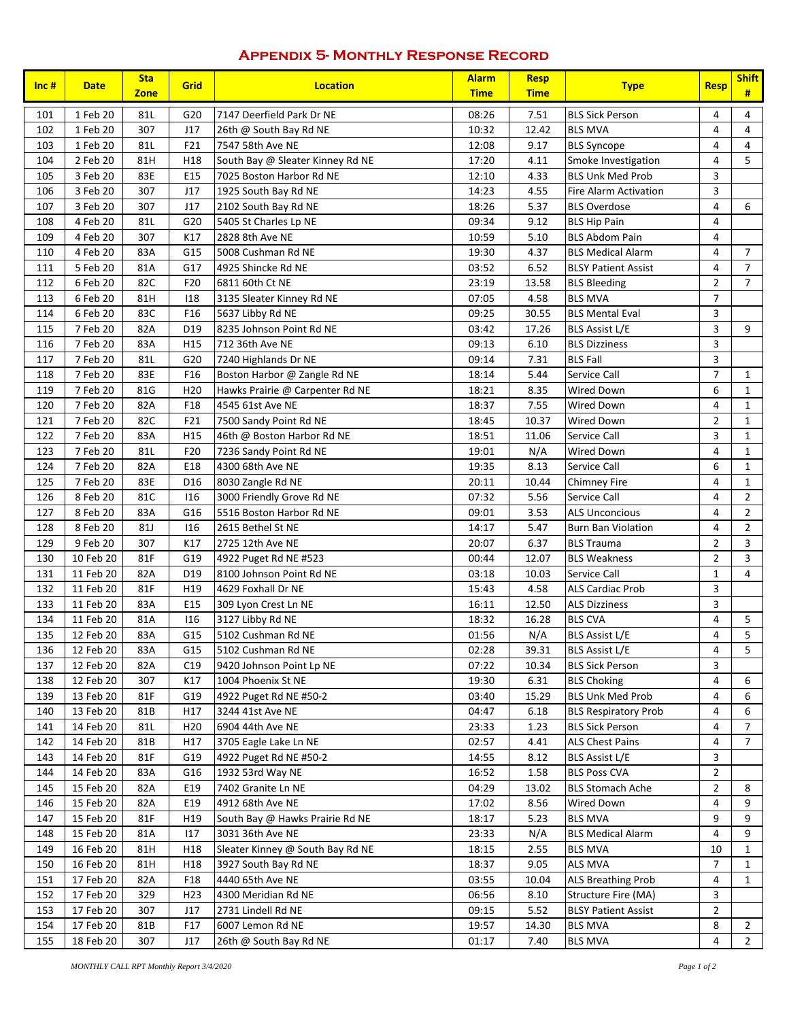### **Appendix 5- Monthly Response Record**

| Inc# | <b>Date</b> | <b>Sta</b><br><b>Zone</b> | Grid            | <b>Location</b>                  | <b>Alarm</b><br><b>Time</b> | <b>Resp</b><br><b>Time</b> | <b>Type</b>                  | <b>Resp</b>    | <b>Shift</b><br># |
|------|-------------|---------------------------|-----------------|----------------------------------|-----------------------------|----------------------------|------------------------------|----------------|-------------------|
| 101  | 1 Feb 20    | 81L                       | G20             | 7147 Deerfield Park Dr NE        | 08:26                       | 7.51                       | <b>BLS Sick Person</b>       | 4              | $\overline{4}$    |
| 102  | 1 Feb 20    | 307                       | J17             | 26th @ South Bay Rd NE           | 10:32                       | 12.42                      | <b>BLS MVA</b>               | $\overline{4}$ | $\overline{4}$    |
| 103  | 1 Feb 20    | 81L                       | F21             | 7547 58th Ave NE                 | 12:08                       | 9.17                       | <b>BLS Syncope</b>           | 4              | $\overline{4}$    |
| 104  | 2 Feb 20    | 81H                       | H18             | South Bay @ Sleater Kinney Rd NE | 17:20                       | 4.11                       | Smoke Investigation          | 4              | 5                 |
| 105  | 3 Feb 20    | 83E                       | E15             | 7025 Boston Harbor Rd NE         | 12:10                       | 4.33                       | <b>BLS Unk Med Prob</b>      | 3              |                   |
| 106  | 3 Feb 20    | 307                       | J17             | 1925 South Bay Rd NE             | 14:23                       | 4.55                       | <b>Fire Alarm Activation</b> | 3              |                   |
| 107  | 3 Feb 20    | 307                       | J17             | 2102 South Bay Rd NE             | 18:26                       | 5.37                       | <b>BLS Overdose</b>          | 4              | 6                 |
| 108  | 4 Feb 20    | 81L                       | G20             | 5405 St Charles Lp NE            | 09:34                       | 9.12                       | <b>BLS Hip Pain</b>          | 4              |                   |
| 109  | 4 Feb 20    | 307                       | K17             | 2828 8th Ave NE                  | 10:59                       | 5.10                       | <b>BLS Abdom Pain</b>        | 4              |                   |
| 110  | 4 Feb 20    | 83A                       | G15             | 5008 Cushman Rd NE               | 19:30                       | 4.37                       | <b>BLS Medical Alarm</b>     | 4              | $\overline{7}$    |
| 111  | 5 Feb 20    | 81A                       | G17             | 4925 Shincke Rd NE               | 03:52                       | 6.52                       | <b>BLSY Patient Assist</b>   | 4              | $\overline{7}$    |
| 112  | 6 Feb 20    | 82C                       | F20             | 6811 60th Ct NE                  | 23:19                       | 13.58                      | <b>BLS Bleeding</b>          | $\overline{2}$ | $\overline{7}$    |
| 113  | 6 Feb 20    | 81H                       | 118             | 3135 Sleater Kinney Rd NE        | 07:05                       | 4.58                       | <b>BLS MVA</b>               | $\overline{7}$ |                   |
| 114  | 6 Feb 20    | 83C                       | F16             | 5637 Libby Rd NE                 | 09:25                       | 30.55                      | <b>BLS Mental Eval</b>       | 3              |                   |
| 115  | 7 Feb 20    | 82A                       | D <sub>19</sub> | 8235 Johnson Point Rd NE         | 03:42                       | 17.26                      | <b>BLS Assist L/E</b>        | 3              | 9                 |
| 116  | 7 Feb 20    | 83A                       | H <sub>15</sub> | 712 36th Ave NE                  | 09:13                       | 6.10                       | <b>BLS Dizziness</b>         | 3              |                   |
| 117  | 7 Feb 20    | 81L                       | G20             | 7240 Highlands Dr NE             | 09:14                       | 7.31                       | <b>BLS Fall</b>              | 3              |                   |
| 118  | 7 Feb 20    | 83E                       | F16             | Boston Harbor @ Zangle Rd NE     | 18:14                       | 5.44                       | Service Call                 | $\overline{7}$ | $\mathbf{1}$      |
| 119  | 7 Feb 20    | 81G                       | H <sub>20</sub> | Hawks Prairie @ Carpenter Rd NE  | 18:21                       | 8.35                       | Wired Down                   | 6              | $\mathbf{1}$      |
| 120  | 7 Feb 20    | 82A                       | F18             | 4545 61st Ave NE                 | 18:37                       | 7.55                       | Wired Down                   | 4              | $\mathbf{1}$      |
| 121  | 7 Feb 20    | 82C                       | F21             | 7500 Sandy Point Rd NE           | 18:45                       | 10.37                      | Wired Down                   | $\overline{2}$ | $\mathbf{1}$      |
| 122  | 7 Feb 20    | 83A                       | H15             | 46th @ Boston Harbor Rd NE       | 18:51                       | 11.06                      | Service Call                 | 3              | $\mathbf{1}$      |
| 123  | 7 Feb 20    | 81L                       | F20             | 7236 Sandy Point Rd NE           | 19:01                       | N/A                        | Wired Down                   | 4              | $\mathbf{1}$      |
| 124  | 7 Feb 20    | 82A                       | E18             | 4300 68th Ave NE                 | 19:35                       | 8.13                       | Service Call                 | 6              | $\mathbf{1}$      |
| 125  | 7 Feb 20    | 83E                       | D <sub>16</sub> | 8030 Zangle Rd NE                | 20:11                       | 10.44                      | Chimney Fire                 | 4              | $\mathbf{1}$      |
| 126  | 8 Feb 20    | 81C                       | 116             | 3000 Friendly Grove Rd NE        | 07:32                       | 5.56                       | Service Call                 | 4              | $\overline{2}$    |
| 127  | 8 Feb 20    | 83A                       | G16             | 5516 Boston Harbor Rd NE         | 09:01                       | 3.53                       | <b>ALS Unconcious</b>        | 4              | $\overline{2}$    |
| 128  | 8 Feb 20    | 81J                       | 116             | 2615 Bethel St NE                | 14:17                       | 5.47                       | <b>Burn Ban Violation</b>    | 4              | $\overline{2}$    |
| 129  | 9 Feb 20    | 307                       | K17             | 2725 12th Ave NE                 | 20:07                       | 6.37                       | <b>BLS Trauma</b>            | $\overline{2}$ | 3                 |
| 130  | 10 Feb 20   | 81F                       | G19             | 4922 Puget Rd NE #523            | 00:44                       | 12.07                      | <b>BLS Weakness</b>          | $\overline{2}$ | $\overline{3}$    |
| 131  | 11 Feb 20   | 82A                       | D19             | 8100 Johnson Point Rd NE         | 03:18                       | 10.03                      | Service Call                 | $\mathbf{1}$   | 4                 |
| 132  | 11 Feb 20   | 81F                       | H19             | 4629 Foxhall Dr NE               | 15:43                       | 4.58                       | <b>ALS Cardiac Prob</b>      | 3              |                   |
| 133  | 11 Feb 20   | 83A                       | E15             | 309 Lyon Crest Ln NE             | 16:11                       | 12.50                      | <b>ALS Dizziness</b>         | 3              |                   |
| 134  | 11 Feb 20   | 81A                       | 116             | 3127 Libby Rd NE                 | 18:32                       | 16.28                      | <b>BLS CVA</b>               | 4              | 5                 |
| 135  | 12 Feb 20   | 83A                       | G15             | 5102 Cushman Rd NE               | 01:56                       | N/A                        | <b>BLS Assist L/E</b>        | 4              | 5                 |
| 136  | 12 Feb 20   | 83A                       | G15             | 5102 Cushman Rd NE               | 02:28                       | 39.31                      | <b>BLS Assist L/E</b>        | 4              | 5                 |
| 137  | 12 Feb 20   | 82A                       | C19             | 9420 Johnson Point Lp NE         | 07:22                       | 10.34                      | <b>BLS Sick Person</b>       | 3              |                   |
| 138  | 12 Feb 20   | 307                       | K17             | 1004 Phoenix St NE               | 19:30                       | 6.31                       | <b>BLS Choking</b>           | 4              | 6                 |
| 139  | 13 Feb 20   | 81F                       | G19             | 4922 Puget Rd NE #50-2           | 03:40                       | 15.29                      | <b>BLS Unk Med Prob</b>      | 4              | 6                 |
| 140  | 13 Feb 20   | 81B                       | H17             | 3244 41st Ave NE                 | 04:47                       | 6.18                       | <b>BLS Respiratory Prob</b>  | 4              | 6                 |
| 141  | 14 Feb 20   | 81 L                      | H <sub>20</sub> | 6904 44th Ave NE                 | 23:33                       | 1.23                       | <b>BLS Sick Person</b>       | 4              | $\overline{7}$    |
| 142  | 14 Feb 20   | 81B                       | H17             | 3705 Eagle Lake Ln NE            | 02:57                       | 4.41                       | <b>ALS Chest Pains</b>       | 4              | $\overline{7}$    |
| 143  | 14 Feb 20   | 81F                       | G19             | 4922 Puget Rd NE #50-2           | 14:55                       | 8.12                       | BLS Assist L/E               | 3              |                   |
| 144  | 14 Feb 20   | 83A                       | G16             | 1932 53rd Way NE                 | 16:52                       | 1.58                       | <b>BLS Poss CVA</b>          | $\overline{2}$ |                   |
| 145  | 15 Feb 20   | 82A                       | E19             | 7402 Granite Ln NE               | 04:29                       | 13.02                      | <b>BLS Stomach Ache</b>      | $\overline{2}$ | 8                 |
| 146  | 15 Feb 20   | 82A                       | E19             | 4912 68th Ave NE                 | 17:02                       | 8.56                       | Wired Down                   | 4              | 9                 |
| 147  | 15 Feb 20   | 81F                       | H <sub>19</sub> | South Bay @ Hawks Prairie Rd NE  | 18:17                       | 5.23                       | BLS MVA                      | 9              | 9                 |
| 148  | 15 Feb 20   | 81A                       | 117             | 3031 36th Ave NE                 | 23:33                       | N/A                        | <b>BLS Medical Alarm</b>     | 4              | 9                 |
| 149  | 16 Feb 20   | 81H                       | H18             | Sleater Kinney @ South Bay Rd NE | 18:15                       | 2.55                       | <b>BLS MVA</b>               | 10             | $\mathbf{1}$      |
| 150  | 16 Feb 20   | 81H                       | H <sub>18</sub> | 3927 South Bay Rd NE             | 18:37                       | 9.05                       | ALS MVA                      | 7              | 1                 |
| 151  | 17 Feb 20   | 82A                       | F18             | 4440 65th Ave NE                 | 03:55                       | 10.04                      | <b>ALS Breathing Prob</b>    | 4              | 1                 |
| 152  | 17 Feb 20   | 329                       | H <sub>23</sub> | 4300 Meridian Rd NE              | 06:56                       | 8.10                       | Structure Fire (MA)          | 3              |                   |
| 153  | 17 Feb 20   | 307                       | J17             | 2731 Lindell Rd NE               | 09:15                       | 5.52                       | <b>BLSY Patient Assist</b>   | $\overline{2}$ |                   |
| 154  | 17 Feb 20   | 81B                       | F17             | 6007 Lemon Rd NE                 | 19:57                       | 14.30                      | <b>BLS MVA</b>               | 8              | $\overline{2}$    |
| 155  | 18 Feb 20   | 307                       | J17             | 26th @ South Bay Rd NE           | 01:17                       | 7.40                       | <b>BLS MVA</b>               | 4              | $\overline{2}$    |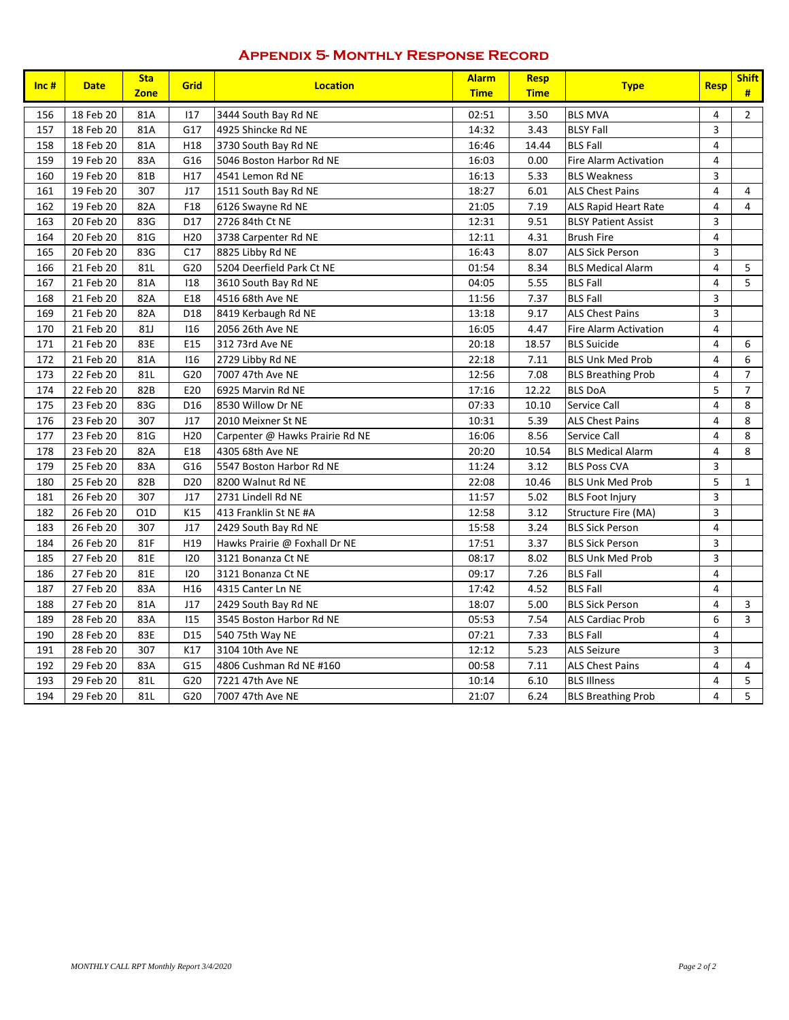### **Appendix 5- Monthly Response Record**

| $Inc$ # | <b>Date</b> | <b>Sta</b><br><b>Zone</b> | <b>Grid</b>     | <b>Location</b>                 | <b>Alarm</b><br><b>Time</b> | <b>Resp</b><br><b>Time</b> | <b>Type</b>                  | <b>Resp</b>             | <b>Shift</b><br># |
|---------|-------------|---------------------------|-----------------|---------------------------------|-----------------------------|----------------------------|------------------------------|-------------------------|-------------------|
| 156     | 18 Feb 20   | 81A                       | 117             | 3444 South Bay Rd NE            | 02:51                       | 3.50                       | <b>BLS MVA</b>               | 4                       | $\overline{2}$    |
| 157     | 18 Feb 20   | 81A                       | G17             | 4925 Shincke Rd NE              | 14:32                       | 3.43                       | <b>BLSY Fall</b>             | 3                       |                   |
| 158     | 18 Feb 20   | 81A                       | H18             | 3730 South Bay Rd NE            | 16:46                       | 14.44                      | <b>BLS Fall</b>              | $\overline{4}$          |                   |
| 159     | 19 Feb 20   | 83A                       | G16             | 5046 Boston Harbor Rd NE        | 16:03                       | 0.00                       | <b>Fire Alarm Activation</b> | $\overline{\mathbf{4}}$ |                   |
| 160     | 19 Feb 20   | 81B                       | H17             | 4541 Lemon Rd NE                | 16:13                       | 5.33                       | <b>BLS Weakness</b>          | 3                       |                   |
| 161     | 19 Feb 20   | 307                       | J17             | 1511 South Bay Rd NE            | 18:27                       | 6.01                       | <b>ALS Chest Pains</b>       | $\overline{\mathbf{4}}$ | 4                 |
| 162     | 19 Feb 20   | 82A                       | F18             | 6126 Swayne Rd NE               | 21:05                       | 7.19                       | ALS Rapid Heart Rate         | $\overline{\mathbf{4}}$ | $\overline{4}$    |
| 163     | 20 Feb 20   | 83G                       | D17             | 2726 84th Ct NE                 | 12:31                       | 9.51                       | <b>BLSY Patient Assist</b>   | 3                       |                   |
| 164     | 20 Feb 20   | 81G                       | H <sub>20</sub> | 3738 Carpenter Rd NE            | 12:11                       | 4.31                       | <b>Brush Fire</b>            | $\overline{4}$          |                   |
| 165     | 20 Feb 20   | 83G                       | C17             | 8825 Libby Rd NE                | 16:43                       | 8.07                       | <b>ALS Sick Person</b>       | 3                       |                   |
| 166     | 21 Feb 20   | 81L                       | G20             | 5204 Deerfield Park Ct NE       | 01:54                       | 8.34                       | <b>BLS Medical Alarm</b>     | $\overline{\mathbf{4}}$ | 5                 |
| 167     | 21 Feb 20   | 81A                       | 118             | 3610 South Bay Rd NE            | 04:05                       | 5.55                       | <b>BLS Fall</b>              | $\overline{\mathbf{4}}$ | 5                 |
| 168     | 21 Feb 20   | 82A                       | E18             | 4516 68th Ave NE                | 11:56                       | 7.37                       | <b>BLS Fall</b>              | 3                       |                   |
| 169     | 21 Feb 20   | 82A                       | D18             | 8419 Kerbaugh Rd NE             | 13:18                       | 9.17                       | <b>ALS Chest Pains</b>       | 3                       |                   |
| 170     | 21 Feb 20   | 81J                       | 116             | 2056 26th Ave NE                | 16:05                       | 4.47                       | <b>Fire Alarm Activation</b> | 4                       |                   |
| 171     | 21 Feb 20   | 83E                       | E15             | 312 73rd Ave NE                 | 20:18                       | 18.57                      | <b>BLS Suicide</b>           | $\overline{\mathbf{4}}$ | 6                 |
| 172     | 21 Feb 20   | 81A                       | 116             | 2729 Libby Rd NE                | 22:18                       | 7.11                       | <b>BLS Unk Med Prob</b>      | $\overline{\mathbf{4}}$ | $\,6\,$           |
| 173     | 22 Feb 20   | 81L                       | G20             | 7007 47th Ave NE                | 12:56                       | 7.08                       | <b>BLS Breathing Prob</b>    | 4                       | $\overline{7}$    |
| 174     | 22 Feb 20   | 82B                       | E20             | 6925 Marvin Rd NE               | 17:16                       | 12.22                      | <b>BLS DoA</b>               | 5                       | $\overline{7}$    |
| 175     | 23 Feb 20   | 83G                       | D <sub>16</sub> | 8530 Willow Dr NE               | 07:33                       | 10.10                      | Service Call                 | 4                       | 8                 |
| 176     | 23 Feb 20   | 307                       | J17             | 2010 Meixner St NE              | 10:31                       | 5.39                       | <b>ALS Chest Pains</b>       | 4                       | 8                 |
| 177     | 23 Feb 20   | 81G                       | H <sub>20</sub> | Carpenter @ Hawks Prairie Rd NE | 16:06                       | 8.56                       | Service Call                 | $\overline{\mathbf{4}}$ | 8                 |
| 178     | 23 Feb 20   | 82A                       | E18             | 4305 68th Ave NE                | 20:20                       | 10.54                      | <b>BLS Medical Alarm</b>     | 4                       | 8                 |
| 179     | 25 Feb 20   | 83A                       | G16             | 5547 Boston Harbor Rd NE        | 11:24                       | 3.12                       | <b>BLS Poss CVA</b>          | 3                       |                   |
| 180     | 25 Feb 20   | 82B                       | D <sub>20</sub> | 8200 Walnut Rd NE               | 22:08                       | 10.46                      | <b>BLS Unk Med Prob</b>      | 5                       | $\mathbf{1}$      |
| 181     | 26 Feb 20   | 307                       | J17             | 2731 Lindell Rd NE              | 11:57                       | 5.02                       | <b>BLS Foot Injury</b>       | 3                       |                   |
| 182     | 26 Feb 20   | O <sub>1</sub> D          | K15             | 413 Franklin St NE #A           | 12:58                       | 3.12                       | Structure Fire (MA)          | 3                       |                   |
| 183     | 26 Feb 20   | 307                       | J17             | 2429 South Bay Rd NE            | 15:58                       | 3.24                       | <b>BLS Sick Person</b>       | $\overline{\mathbf{4}}$ |                   |
| 184     | 26 Feb 20   | 81F                       | H19             | Hawks Prairie @ Foxhall Dr NE   | 17:51                       | 3.37                       | <b>BLS Sick Person</b>       | 3                       |                   |
| 185     | 27 Feb 20   | 81E                       | 120             | 3121 Bonanza Ct NE              | 08:17                       | 8.02                       | <b>BLS Unk Med Prob</b>      | 3                       |                   |
| 186     | 27 Feb 20   | 81E                       | 120             | 3121 Bonanza Ct NE              | 09:17                       | 7.26                       | <b>BLS Fall</b>              | $\overline{4}$          |                   |
| 187     | 27 Feb 20   | 83A                       | H <sub>16</sub> | 4315 Canter Ln NE               | 17:42                       | 4.52                       | <b>BLS Fall</b>              | $\overline{4}$          |                   |
| 188     | 27 Feb 20   | 81A                       | J17             | 2429 South Bay Rd NE            | 18:07                       | 5.00                       | <b>BLS Sick Person</b>       | 4                       | 3                 |
| 189     | 28 Feb 20   | 83A                       | 115             | 3545 Boston Harbor Rd NE        | 05:53                       | 7.54                       | <b>ALS Cardiac Prob</b>      | 6                       | $\overline{3}$    |
| 190     | 28 Feb 20   | 83E                       | D15             | 540 75th Way NE                 | 07:21                       | 7.33                       | <b>BLS Fall</b>              | 4                       |                   |
| 191     | 28 Feb 20   | 307                       | K17             | 3104 10th Ave NE                | 12:12                       | 5.23                       | <b>ALS Seizure</b>           | 3                       |                   |
| 192     | 29 Feb 20   | 83A                       | G15             | 4806 Cushman Rd NE #160         | 00:58                       | 7.11                       | <b>ALS Chest Pains</b>       | $\overline{\mathbf{4}}$ | 4                 |
| 193     | 29 Feb 20   | 81L                       | G20             | 7221 47th Ave NE                | 10:14                       | 6.10                       | <b>BLS Illness</b>           | 4                       | 5                 |
| 194     | 29 Feb 20   | 81L                       | G20             | 7007 47th Ave NE                | 21:07                       | 6.24                       | <b>BLS Breathing Prob</b>    | $\overline{\mathbf{4}}$ | 5                 |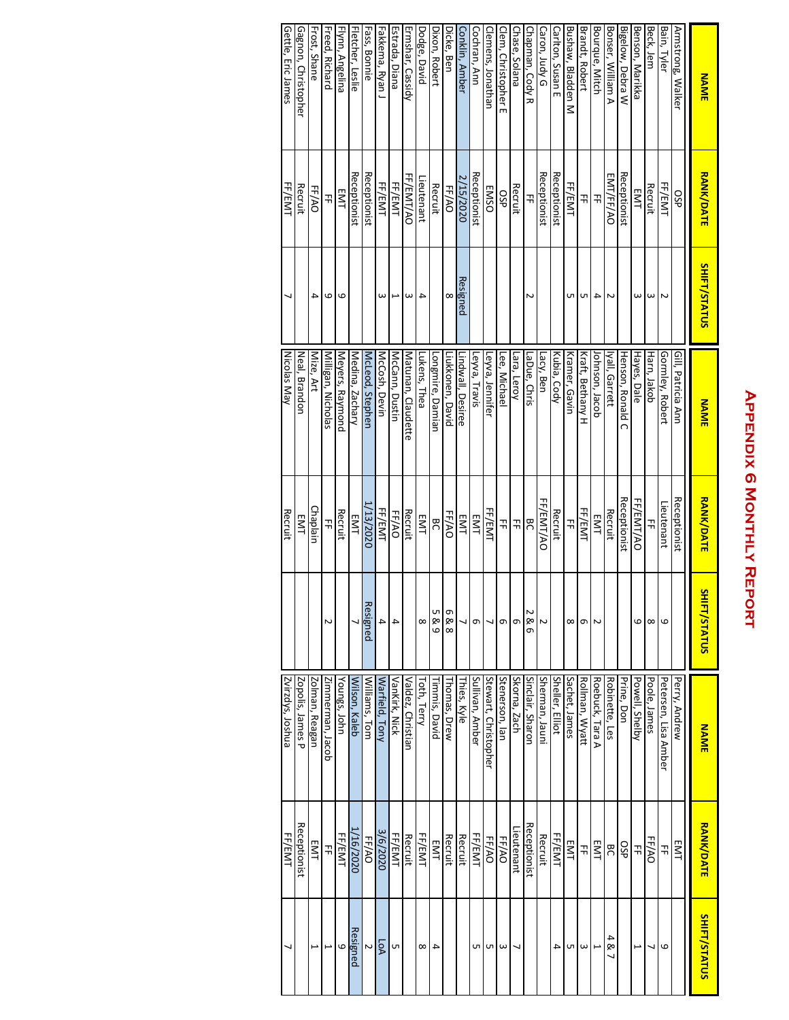## **APPENDIX 6 MONTHLY REPORT Appendix 6 Monthly Report**

| <b>NAME</b>         | <b>RANK/DATE</b> | <b>SHIFT/STATUS</b>      | <b>NAME</b>          | <b>RANK/DATE</b> | Ξ<br>IFT/STATUS | <b>NAME</b>          | <b>RANK/DATE</b> | <b>SHIFT/STATUS</b>      |
|---------------------|------------------|--------------------------|----------------------|------------------|-----------------|----------------------|------------------|--------------------------|
| Armstrong, Walker   | 9SP              |                          | Gill, Patricia Ann   | Receptionist     |                 | Perry, Andrew        | EMT              |                          |
| Bain, Tyler         | FF/EMT           | Z                        | Gormley, Robert      | Lieutenant       | ဖ               | Petersen, Lisa Amber | 곢                | 6                        |
| Beck, Jem           | Recruit          | $\omega$                 | Harn, Jakob          | 꾺                | $\infty$        | Poole, James         | FF/AO            | ↘                        |
| Benson, Marikka     | EMT              | ω                        | Hayes, Dale          | FF/EMT/AO        | ဖ               | Powell, Shelby       | 끆                | $\overline{\phantom{0}}$ |
| Bigelow, Debra W    | Receptionist     |                          | Henson, Ronald C     | Receptionist     |                 | Prine, Don           | 9SP              |                          |
| Bonser, William A   | EMT/FF/AO        | Z                        | lyall, Garrett       | Recruit          |                 | Robinette, Les       | BC               | 481                      |
| Bourque, Mitch      | 꾺                | 4                        | lohnson, Jacob       | EMT              | 2               | Roebuck, Tara A      | EMT              | L                        |
| Brandt, Robert      | 끆                | UП                       | Kraft, Bethany H     | FF/EMT           | σ               | Rollman, Wyatt       | 끆                | ω                        |
| Bushaw, Bladden M   | FF/EMT           | C                        | Kramer, Gavin        | 곢                | ∞               | Sachet, James        | EMT              | UП                       |
| Carlton, Susan E    | Receptionist     |                          | Kubia, Cody          | Recruit          |                 | Sheller, Elliot      | FF/EMT           | 4                        |
| Caron, Judy G       | Receptionist     |                          | Lacy, Ben            | FF/EMT/AO        |                 | Sherman, Jauni       | Recruit          |                          |
| Chapman, Cody R     | 끆                | Z                        | LaDue, Chris         | <b>BC</b>        | N<br>86         | Sinclair, Sharon     | Receptionist     |                          |
| Chase, Solana       | Recruit          |                          | Lara, Leroy          | 괶                | თ               | Skorna, Zach         | leutenant.       |                          |
| Clem, Christopher E | dSO              |                          | <u>Lee, Mich</u> ael | 끆                | თ               | Stenerson, lan       | FF/AO            | $\omega$                 |
| Clemens, Jonathan   | <b>EMSO</b>      |                          | Leyva, Jennifer      | FF/EMT           | ┙               | Stewart, Christopher | FF/AO            | UП                       |
| Cochran, Ann        | Receptionist     |                          | Leyva, Travis        | EMT              | თ               | Sullivan, Amber      | FF/EMT           | UП                       |
| Conklin, Amber      | 2/15/2020        | Resigned                 | Lindwall, Desiree    | EMT              |                 | Thies, Kyle          | Recruit          |                          |
| Dicke, Ben          | FF/AO            | $\infty$                 | Liukkonen, David     | FF/AO            | Φ<br>88         | Thomas, Drew         | Recruit          |                          |
| Dixon, Robert       | Recruit          |                          | ongmire, Damian      | <b>BC</b>        | υп<br>89        | Timmis, David        | EMT              | 4                        |
| Dodge, David        | _ieutenant       | $\overline{4}$           | Lukens, Thea         | EMT              | $\infty$        | Toth, Terry          | FF/EMT           | $\infty$                 |
| Ermshar, Cassidy    | FF/EMT/AO        | $\omega$                 | Matunan, Claudette   | Recruit          |                 | Valdez, Christian    | Recruit          |                          |
| Estrada, Diana      | FF/EMT           | $\overline{\phantom{0}}$ | McCann, Dustin       | FF/AO            | 4               | VanKirk, Nick        | FF/EMT           | UП                       |
| Fakkema, Ryan J     | FF/EMT           | ω                        | McCosh, Devin        | FF/EMT           | 4               | Warfield, Tony       | 3/6/2020         | LoA                      |
| Fass, Bonnie        | Receptionist     |                          | McLeod, Stepher      | 1/13/2020        | Resigned        | Williams, Tom        | FF/AO            | Z                        |
| Fletcher, Leslie    | Receptionist     |                          | Medina, Zachary      | EMT              |                 | Wilson, Kaleb        | 1/16/2020        | Resigned                 |
| Flynn, Angelina     | EMT              | 6                        | Meyers, Raymond      | Recruit          |                 | Youngs, John         | FF/EMT           | 6                        |
| Freed, Richard      | 곢                | 6                        | Milligan, Nicholas   | 끆                |                 | Zimmerman, Jacob     | 끆                |                          |
| Frost, Shane        | FF/AO            | 4                        | Mize, Art            | Chaplain         |                 | Zolman, Reagan       | EMT              | $\overline{ }$           |
| Gagnon, Christopher | Recruit          |                          | Neal, Brandon        | EMT              |                 | Zopolis, James P     | Receptionist     |                          |
| Gettle, Eric James  | FF/EMT           | ┙                        | Nicolas<br>May       | Recruit          |                 | Zvirzdys, Joshua     | FF/EMT           | ↘                        |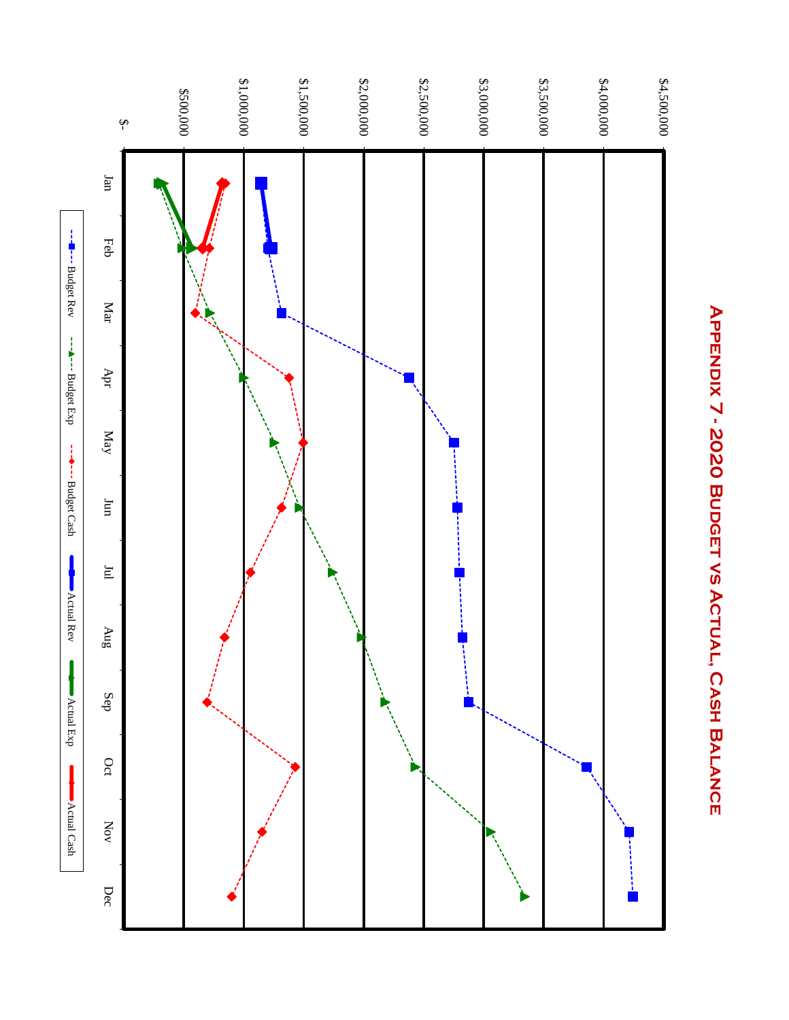

# APPENDIX 7 - 2020 BUDGET VS ACTUAL, CASH BALANCE **Appendix 7 - 2020 Budget vs Actual, Cash Balance**